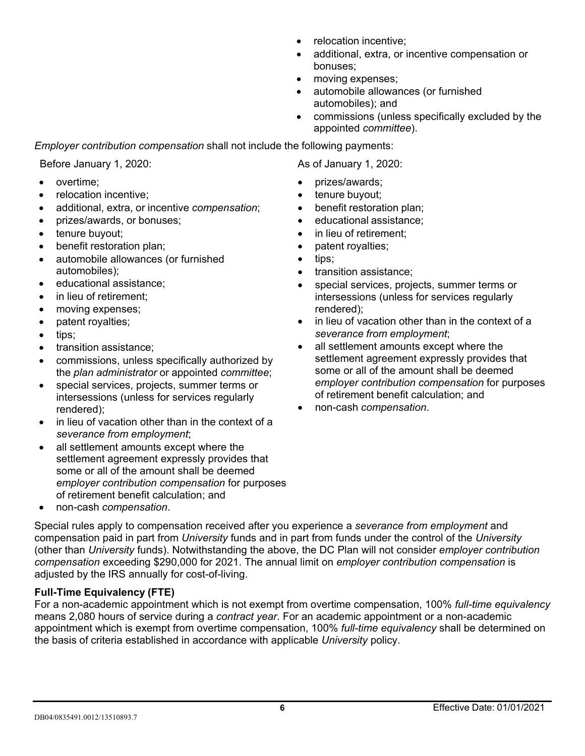- relocation incentive;
- additional, extra, or incentive compensation or bonuses;
- moving expenses;
- automobile allowances (or furnished automobiles); and
- commissions (unless specifically excluded by the appointed *committee*).

*Employer contribution compensation* shall not include the following payments:

Before January 1, 2020: As of January 1, 2020:

- overtime;
- relocation incentive;
- additional, extra, or incentive *compensation*;
- prizes/awards, or bonuses;
- tenure buyout:
- benefit restoration plan;
- automobile allowances (or furnished automobiles);
- educational assistance;
- in lieu of retirement:
- moving expenses;
- patent royalties;
- tips;
- transition assistance;
- commissions, unless specifically authorized by the *plan administrator* or appointed *committee*;
- special services, projects, summer terms or intersessions (unless for services regularly rendered);
- in lieu of vacation other than in the context of a *severance from employment*;
- all settlement amounts except where the settlement agreement expressly provides that some or all of the amount shall be deemed *employer contribution compensation* for purposes of retirement benefit calculation; and
- non-cash *compensation*.

Special rules apply to compensation received after you experience a *severance from employment* and compensation paid in part from *University* funds and in part from funds under the control of the *University* (other than *University* funds). Notwithstanding the above, the DC Plan will not consider *employer contribution compensation* exceeding \$305,000 for 2022. The annual limit on *employer contribution compensation* is adjusted by the IRS annually for cost-of-living.

### **Full-Time Equivalency (FTE)**

For a non-academic appointment which is not exempt from overtime compensation, 100% *full-time equivalency* means 2,080 hours of service during a *contract year*. For an academic appointment or a non-academic appointment which is exempt from overtime compensation, 100% *full-time equivalency* shall be determined on the basis of criteria established in accordance with applicable *University* policy.

- prizes/awards;
- tenure buyout;
- benefit restoration plan;
- educational assistance;
- in lieu of retirement:
- patent royalties;
- tips;
- transition assistance;
- special services, projects, summer terms or intersessions (unless for services regularly rendered);
- in lieu of vacation other than in the context of a *severance from employment*;
- all settlement amounts except where the settlement agreement expressly provides that some or all of the amount shall be deemed *employer contribution compensation* for purposes of retirement benefit calculation; and
- non-cash *compensation*.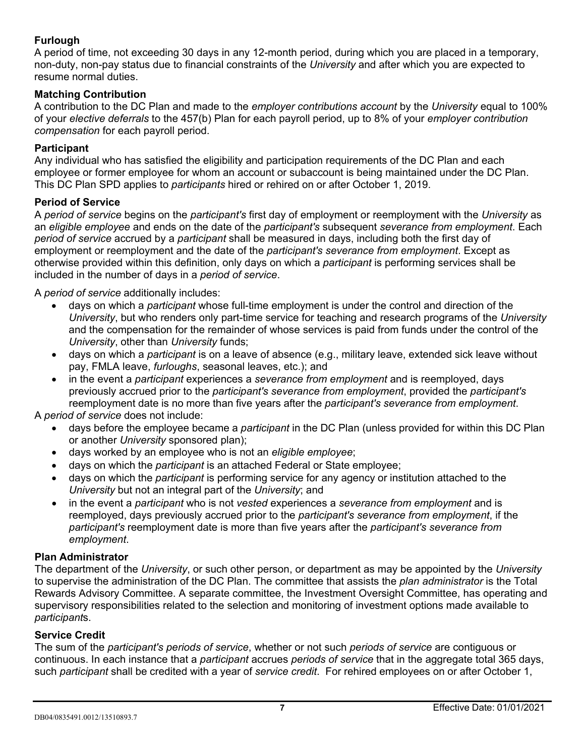### **Furlough**

A period of time, not exceeding 30 days in any 12-month period, during which you are placed in a temporary, non-duty, non-pay status due to financial constraints of the *University* and after which you are expected to resume normal duties.

#### **Matching Contribution**

A contribution to the DC Plan and made to the *employer contributions account* by the *University* equal to 100% of your *elective deferrals* to the 457(b) Plan for each payroll period, up to 8% of your *employer contribution compensation* for each payroll period.

#### **Participant**

Any individual who has satisfied the eligibility and participation requirements of the DC Plan and each employee or former employee for whom an account or subaccount is being maintained under the DC Plan. This DC Plan SPD applies to *participants* hired or rehired on or after October 1, 2019.

#### **Period of Service**

A *period of service* begins on the *participant's* first day of employment or reemployment with the *University* as an *eligible employee* and ends on the date of the *participant's* subsequent *severance from employment*. Each *period of service* accrued by a *participant* shall be measured in days, including both the first day of employment or reemployment and the date of the *participant's severance from employment*. Except as otherwise provided within this definition, only days on which a *participant* is performing services shall be included in the number of days in a *period of service*.

A *period of service* additionally includes:

- days on which a *participant* whose full-time employment is under the control and direction of the *University*, but who renders only part-time service for teaching and research programs of the *University* and the compensation for the remainder of whose services is paid from funds under the control of the *University*, other than *University* funds;
- days on which a *participant* is on a leave of absence (e.g., military leave, extended sick leave without pay, FMLA leave, *furloughs*, seasonal leaves, etc.); and
- in the event a *participant* experiences a *severance from employment* and is reemployed, days previously accrued prior to the *participant's severance from employment*, provided the *participant's* reemployment date is no more than five years after the *participant's severance from employment*.

A *period of service* does not include:

- days before the employee became a *participant* in the DC Plan (unless provided for within this DC Plan or another *University* sponsored plan);
- days worked by an employee who is not an *eligible employee*;
- days on which the *participant* is an attached Federal or State employee;
- days on which the *participant* is performing service for any agency or institution attached to the *University* but not an integral part of the *University*; and
- in the event a *participant* who is not *vested* experiences a *severance from employment* and is reemployed, days previously accrued prior to the *participant's severance from employment*, if the *participant's* reemployment date is more than five years after the *participant's severance from employment*.

#### **Plan Administrator**

The department of the *University*, or such other person, or department as may be appointed by the *University* to supervise the administration of the DC Plan. The committee that assists the *plan administrator* is the Total Rewards Advisory Committee. A separate committee, the Investment Oversight Committee, has operating and supervisory responsibilities related to the selection and monitoring of investment options made available to *participant*s.

#### **Service Credit**

The sum of the *participant's periods of service*, whether or not such *periods of service* are contiguous or continuous. In each instance that a *participant* accrues *periods of service* that in the aggregate total 365 days, such *participant* shall be credited with a year of *service credit*. For rehired employees on or after October 1,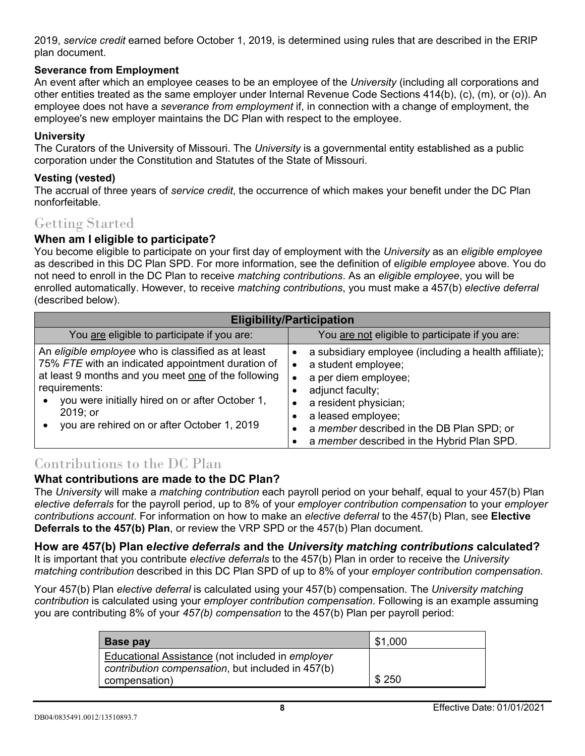2019, *service credit* earned before October 1, 2019, is determined using rules that are described in the ERIP plan document.

### **Severance from Employment**

An event after which an employee ceases to be an employee of the *University* (including all corporations and other entities treated as the same employer under Internal Revenue Code Sections 414(b), (c), (m), or (o)). An employee does not have a *severance from employment* if, in connection with a change of employment, the employee's new employer maintains the DC Plan with respect to the employee.

#### **University**

The Curators of the University of Missouri. The *University* is a governmental entity established as a public corporation under the Constitution and Statutes of the State of Missouri.

#### **Vesting (vested)**

The accrual of three years of *service credit*, the occurrence of which makes your benefit under the DC Plan nonforfeitable.

### Getting Started

### **When am I eligible to participate?**

You become eligible to participate on your first day of employment with the *University* as an *eligible employee* as described in this DC Plan SPD. For more information, see the definition of e*ligible employee* above. You do not need to enroll in the DC Plan to receive *matching contributions*. As an *eligible employee*, you will be enrolled automatically. However, to receive *matching contributions*, you must make a 457(b) *elective deferral* (described below).

| <b>Eligibility/Participation</b>                                                                                                                                                                                                                                                              |                                                                                                                                                                                                                                                                    |  |
|-----------------------------------------------------------------------------------------------------------------------------------------------------------------------------------------------------------------------------------------------------------------------------------------------|--------------------------------------------------------------------------------------------------------------------------------------------------------------------------------------------------------------------------------------------------------------------|--|
| You are eligible to participate if you are:                                                                                                                                                                                                                                                   | You are not eligible to participate if you are:                                                                                                                                                                                                                    |  |
| An eligible employee who is classified as at least<br>75% FTE with an indicated appointment duration of<br>at least 9 months and you meet one of the following<br>requirements:<br>you were initially hired on or after October 1,<br>2019; or<br>you are rehired on or after October 1, 2019 | a subsidiary employee (including a health affiliate);<br>a student employee;<br>a per diem employee;<br>adjunct faculty;<br>a resident physician;<br>a leased employee;<br>a member described in the DB Plan SPD; or<br>a member described in the Hybrid Plan SPD. |  |

# Contributions to the DC Plan

### **What contributions are made to the DC Plan?**

The *University* will make a *matching contribution* each payroll period on your behalf, equal to your 457(b) Plan *elective deferrals* for the payroll period, up to 8% of your *employer contribution compensation* to your *employer contributions account*. For information on how to make an *elective deferral* to the 457(b) Plan, see **Elective Deferrals to the 457(b) Plan**, or review the VRP SPD or the 457(b) Plan document.

### **How are 457(b) Plan e***lective deferrals* **and the** *University matching contributions* **calculated?**

It is important that you contribute *elective deferrals* to the 457(b) Plan in order to receive the *University matching contribution* described in this DC Plan SPD of up to 8% of your *employer contribution compensation*.

Your 457(b) Plan *elective deferral* is calculated using your 457(b) compensation. The *University matching contribution* is calculated using your *employer contribution compensation*. Following is an example assuming you are contributing 8% of your *457(b) compensation* to the 457(b) Plan per payroll period:

| Base pay                                                                                              |       |
|-------------------------------------------------------------------------------------------------------|-------|
| Educational Assistance (not included in employer<br>contribution compensation, but included in 457(b) |       |
| compensation)                                                                                         | \$250 |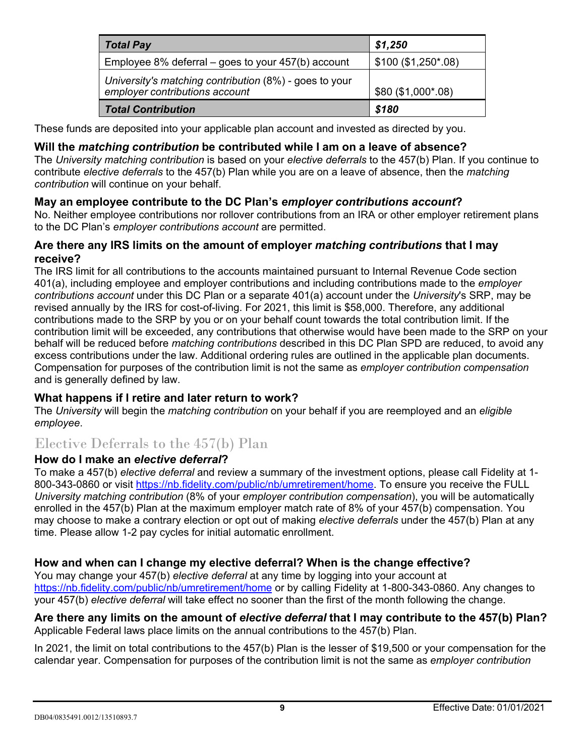| <b>Total Pay</b>                                                                         | \$1,250             |
|------------------------------------------------------------------------------------------|---------------------|
| Employee 8% deferral – goes to your $457(b)$ account                                     | $$100 ($1,250*.08)$ |
| University's matching contribution (8%) - goes to your<br>employer contributions account | \$80 (\$1,000*.08)  |
| <b>Total Contribution</b>                                                                | \$180               |

These funds are deposited into your applicable plan account and invested as directed by you.

### **Will the** *matching contribution* **be contributed while I am on a leave of absence?**

The *University matching contribution* is based on your *elective deferrals* to the 457(b) Plan. If you continue to contribute *elective deferrals* to the 457(b) Plan while you are on a leave of absence, then the *matching contribution* will continue on your behalf.

### **May an employee contribute to the DC Plan's** *employer contributions account***?**

No. Neither employee contributions nor rollover contributions from an IRA or other employer retirement plans to the DC Plan's *employer contributions account* are permitted.

### **Are there any IRS limits on the amount of employer** *matching contributions* **that I may receive?**

The IRS limit for all contributions to the accounts maintained pursuant to Internal Revenue Code section 401(a), including employee and employer contributions and including contributions made to the *employer contributions account* under this DC Plan or a separate 401(a) account under the *University*'s SRP, may be revised annually by the IRS for cost-of-living. For 2021, this limit is \$58,000. Therefore, any additional contributions made to the SRP by you or on your behalf count towards the total contribution limit. If the contribution limit will be exceeded, any contributions that otherwise would have been made to the SRP on your behalf will be reduced before *matching contributions* described in this DC Plan SPD are reduced, to avoid any excess contributions under the law. Additional ordering rules are outlined in the applicable plan documents. Compensation for purposes of the contribution limit is not the same as *employer contribution compensation* and is generally defined by law.

### **What happens if I retire and later return to work?**

The *University* will begin the *matching contribution* on your behalf if you are reemployed and an *eligible employee*.

# Elective Deferrals to the 457(b) Plan

### **How do I make an** *elective deferral***?**

To make a 457(b) *elective deferral* and review a summary of the investment options, please call Fidelity at 1 800-343-0860 or visit [https://nb.fidelity.com/public/nb/umretirement/home.](https://nb.fidelity.com/public/nb/umretirement/home) To ensure you receive the FULL *University matching contribution* (8% of your *employer contribution compensation*), you will be automatically enrolled in the 457(b) Plan at the maximum employer match rate of 8% of your 457(b) compensation. You may choose to make a contrary election or opt out of making *elective deferrals* under the 457(b) Plan at any time. Please allow 1-2 pay cycles for initial automatic enrollment.

### **How and when can I change my elective deferral? When is the change effective?**

You may change your 457(b) *elective deferral* at any time by logging into your account at [https://nb.fidelity.com/public/nb/umretirement/home](http://www.netbenefits.com/umretirement) or by calling Fidelity at 1-800-343-0860. Any changes to your 457(b) *elective deferral* will take effect no sooner than the first of the month following the change.

#### **Are there any limits on the amount of** *elective deferral* **that I may contribute to the 457(b) Plan?** Applicable Federal laws place limits on the annual contributions to the 457(b) Plan.

In 2021, the limit on total contributions to the 457(b) Plan is the lesser of \$20,500 or your compensation for the calendar year. Compensation for purposes of the contribution limit is not the same as *employer contribution*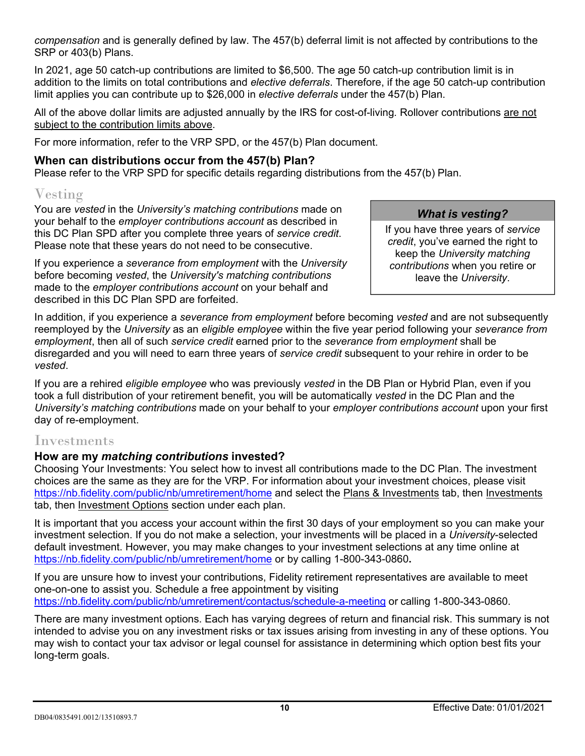*compensation* and is generally defined by law. The 457(b) deferral limit is not affected by contributions to the SRP or 403(b) Plans.

In 2021, age 50 catch-up contributions are limited to \$6,500. The age 50 catch-up contribution limit is in addition to the limits on total contributions and *elective deferrals*. Therefore, if the age 50 catch-up contribution limit applies you can contribute up to \$27,000 in *elective deferrals* under the 457(b) Plan.

All of the above dollar limits are adjusted annually by the IRS for cost-of-living*.* Rollover contributions are not subject to the contribution limits above.

For more information, refer to the VRP SPD, or the 457(b) Plan document.

### **When can distributions occur from the 457(b) Plan?**

Please refer to the VRP SPD for specific details regarding distributions from the 457(b) Plan.

# Vesting

You are *vested* in the *University's matching contributions* made on your behalf to the *employer contributions account* as described in this DC Plan SPD after you complete three years of *service credit*. Please note that these years do not need to be consecutive.

If you experience a *severance from employment* with the *University* before becoming *vested*, the *University's matching contributions* made to the *employer contributions account* on your behalf and described in this DC Plan SPD are forfeited.

### *What is vesting?*

If you have three years of *service credit*, you've earned the right to keep the *University matching contributions* when you retire or leave the *University*.

In addition, if you experience a *severance from employment* before becoming *vested* and are not subsequently reemployed by the *University* as an *eligible employee* within the five year period following your *severance from employment*, then all of such *service credit* earned prior to the *severance from employment* shall be disregarded and you will need to earn three years of *service credit* subsequent to your rehire in order to be *vested*.

If you are a rehired *eligible employee* who was previously *vested* in the DB Plan or Hybrid Plan, even if you took a full distribution of your retirement benefit, you will be automatically *vested* in the DC Plan and the *University's matching contributions* made on your behalf to your *employer contributions account* upon your first day of re-employment.

### Investments

### **How are my** *matching contributions* **invested?**

Choosing Your Investments: You select how to invest all contributions made to the DC Plan. The investment choices are the same as they are for the VRP. For information about your investment choices, please visit <https://nb.fidelity.com/public/nb/umretirement/home> and select the Plans & Investments tab, then Investments tab, then Investment Options section under each plan.

It is important that you access your account within the first 30 days of your employment so you can make your investment selection. If you do not make a selection, your investments will be placed in a *University*-selected default investment. However, you may make changes to your investment selections at any time online at https://nb.fidelity.com/public/nb/umretirement/home or by calling 1-800-343-0860**.** 

If you are unsure how to invest your contributions, Fidelity retirement representatives are available to meet one-on-one to assist you. Schedule a free appointment by visiting <https://nb.fidelity.com/public/nb/umretirement/contactus/schedule-a-meeting> or calling 1-800-343-0860.

There are many investment options. Each has varying degrees of return and financial risk. This summary is not intended to advise you on any investment risks or tax issues arising from investing in any of these options. You may wish to contact your tax advisor or legal counsel for assistance in determining which option best fits your long-term goals.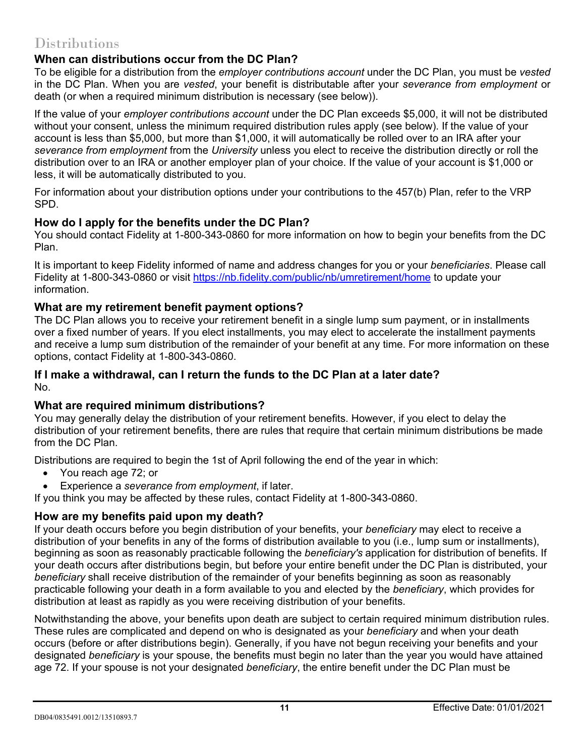# Distributions

### **When can distributions occur from the DC Plan?**

To be eligible for a distribution from the *employer contributions account* under the DC Plan, you must be *vested* in the DC Plan. When you are *vested*, your benefit is distributable after your *severance from employment* or death (or when a required minimum distribution is necessary (see below)).

If the value of your *employer contributions account* under the DC Plan exceeds \$5,000, it will not be distributed without your consent, unless the minimum required distribution rules apply (see below). If the value of your account is less than \$5,000, but more than \$1,000, it will automatically be rolled over to an IRA after your *severance from employment* from the *University* unless you elect to receive the distribution directly or roll the distribution over to an IRA or another employer plan of your choice. If the value of your account is \$1,000 or less, it will be automatically distributed to you.

For information about your distribution options under your contributions to the 457(b) Plan, refer to the VRP SPD.

### **How do I apply for the benefits under the DC Plan?**

You should contact Fidelity at 1-800-343-0860 for more information on how to begin your benefits from the DC Plan.

It is important to keep Fidelity informed of name and address changes for you or your *beneficiaries*. Please call Fidelity at 1-800-343-0860 or visit<https://nb.fidelity.com/public/nb/umretirement/home> to update your information.

### **What are my retirement benefit payment options?**

The DC Plan allows you to receive your retirement benefit in a single lump sum payment, or in installments over a fixed number of years. If you elect installments, you may elect to accelerate the installment payments and receive a lump sum distribution of the remainder of your benefit at any time. For more information on these options, contact Fidelity at 1-800-343-0860.

#### **If I make a withdrawal, can I return the funds to the DC Plan at a later date?** No.

### **What are required minimum distributions?**

You may generally delay the distribution of your retirement benefits. However, if you elect to delay the distribution of your retirement benefits, there are rules that require that certain minimum distributions be made from the DC Plan.

Distributions are required to begin the 1st of April following the end of the year in which:

- You reach age 72; or
- Experience a *severance from employment*, if later.

If you think you may be affected by these rules, contact Fidelity at 1-800-343-0860.

### **How are my benefits paid upon my death?**

If your death occurs before you begin distribution of your benefits, your *beneficiary* may elect to receive a distribution of your benefits in any of the forms of distribution available to you (i.e., lump sum or installments), beginning as soon as reasonably practicable following the *beneficiary's* application for distribution of benefits. If your death occurs after distributions begin, but before your entire benefit under the DC Plan is distributed, your *beneficiary* shall receive distribution of the remainder of your benefits beginning as soon as reasonably practicable following your death in a form available to you and elected by the *beneficiary*, which provides for distribution at least as rapidly as you were receiving distribution of your benefits.

Notwithstanding the above, your benefits upon death are subject to certain required minimum distribution rules. These rules are complicated and depend on who is designated as your *beneficiary* and when your death occurs (before or after distributions begin). Generally, if you have not begun receiving your benefits and your designated *beneficiary* is your spouse, the benefits must begin no later than the year you would have attained age 72. If your spouse is not your designated *beneficiary*, the entire benefit under the DC Plan must be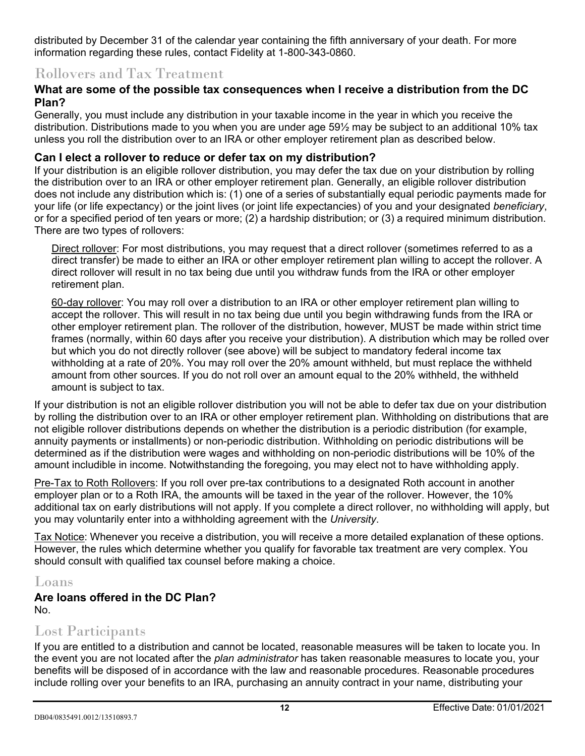distributed by December 31 of the calendar year containing the fifth anniversary of your death. For more information regarding these rules, contact Fidelity at 1-800-343-0860.

## Rollovers and Tax Treatment

### **What are some of the possible tax consequences when I receive a distribution from the DC Plan?**

Generally, you must include any distribution in your taxable income in the year in which you receive the distribution. Distributions made to you when you are under age 59½ may be subject to an additional 10% tax unless you roll the distribution over to an IRA or other employer retirement plan as described below.

### **Can I elect a rollover to reduce or defer tax on my distribution?**

If your distribution is an eligible rollover distribution, you may defer the tax due on your distribution by rolling the distribution over to an IRA or other employer retirement plan. Generally, an eligible rollover distribution does not include any distribution which is: (1) one of a series of substantially equal periodic payments made for your life (or life expectancy) or the joint lives (or joint life expectancies) of you and your designated *beneficiary*, or for a specified period of ten years or more; (2) a hardship distribution; or (3) a required minimum distribution. There are two types of rollovers:

Direct rollover: For most distributions, you may request that a direct rollover (sometimes referred to as a direct transfer) be made to either an IRA or other employer retirement plan willing to accept the rollover. A direct rollover will result in no tax being due until you withdraw funds from the IRA or other employer retirement plan.

60-day rollover: You may roll over a distribution to an IRA or other employer retirement plan willing to accept the rollover. This will result in no tax being due until you begin withdrawing funds from the IRA or other employer retirement plan. The rollover of the distribution, however, MUST be made within strict time frames (normally, within 60 days after you receive your distribution). A distribution which may be rolled over but which you do not directly rollover (see above) will be subject to mandatory federal income tax withholding at a rate of 20%. You may roll over the 20% amount withheld, but must replace the withheld amount from other sources. If you do not roll over an amount equal to the 20% withheld, the withheld amount is subject to tax.

If your distribution is not an eligible rollover distribution you will not be able to defer tax due on your distribution by rolling the distribution over to an IRA or other employer retirement plan. Withholding on distributions that are not eligible rollover distributions depends on whether the distribution is a periodic distribution (for example, annuity payments or installments) or non-periodic distribution. Withholding on periodic distributions will be determined as if the distribution were wages and withholding on non-periodic distributions will be 10% of the amount includible in income. Notwithstanding the foregoing, you may elect not to have withholding apply.

Pre-Tax to Roth Rollovers: If you roll over pre-tax contributions to a designated Roth account in another employer plan or to a Roth IRA, the amounts will be taxed in the year of the rollover. However, the 10% additional tax on early distributions will not apply. If you complete a direct rollover, no withholding will apply, but you may voluntarily enter into a withholding agreement with the *University*.

Tax Notice: Whenever you receive a distribution, you will receive a more detailed explanation of these options. However, the rules which determine whether you qualify for favorable tax treatment are very complex. You should consult with qualified tax counsel before making a choice.

# Loans

### **Are loans offered in the DC Plan?** No.

## Lost Participants

If you are entitled to a distribution and cannot be located, reasonable measures will be taken to locate you. In the event you are not located after the *plan administrator* has taken reasonable measures to locate you, your benefits will be disposed of in accordance with the law and reasonable procedures. Reasonable procedures include rolling over your benefits to an IRA, purchasing an annuity contract in your name, distributing your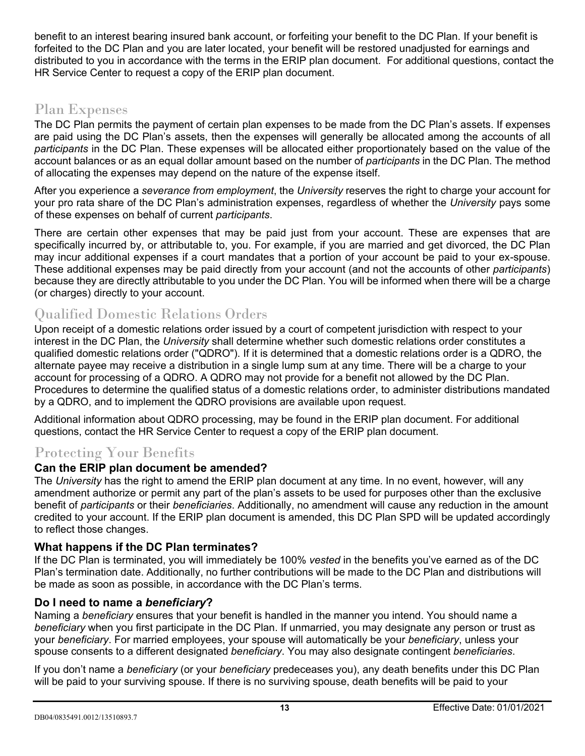benefit to an interest bearing insured bank account, or forfeiting your benefit to the DC Plan. If your benefit is forfeited to the DC Plan and you are later located, your benefit will be restored unadjusted for earnings and distributed to you in accordance with the terms in the ERIP plan document. For additional questions, contact the HR Service Center to request a copy of the ERIP plan document.

# Plan Expenses

The DC Plan permits the payment of certain plan expenses to be made from the DC Plan's assets. If expenses are paid using the DC Plan's assets, then the expenses will generally be allocated among the accounts of all *participants* in the DC Plan. These expenses will be allocated either proportionately based on the value of the account balances or as an equal dollar amount based on the number of *participants* in the DC Plan. The method of allocating the expenses may depend on the nature of the expense itself.

After you experience a *severance from employment*, the *University* reserves the right to charge your account for your pro rata share of the DC Plan's administration expenses, regardless of whether the *University* pays some of these expenses on behalf of current *participants*.

There are certain other expenses that may be paid just from your account. These are expenses that are specifically incurred by, or attributable to, you. For example, if you are married and get divorced, the DC Plan may incur additional expenses if a court mandates that a portion of your account be paid to your ex-spouse. These additional expenses may be paid directly from your account (and not the accounts of other *participants*) because they are directly attributable to you under the DC Plan. You will be informed when there will be a charge (or charges) directly to your account.

# Qualified Domestic Relations Orders

Upon receipt of a domestic relations order issued by a court of competent jurisdiction with respect to your interest in the DC Plan, the *University* shall determine whether such domestic relations order constitutes a qualified domestic relations order ("QDRO"). If it is determined that a domestic relations order is a QDRO, the alternate payee may receive a distribution in a single lump sum at any time. There will be a charge to your account for processing of a QDRO. A QDRO may not provide for a benefit not allowed by the DC Plan. Procedures to determine the qualified status of a domestic relations order, to administer distributions mandated by a QDRO, and to implement the QDRO provisions are available upon request.

Additional information about QDRO processing, may be found in the ERIP plan document. For additional questions, contact the HR Service Center to request a copy of the ERIP plan document.

# Protecting Your Benefits

### **Can the ERIP plan document be amended?**

The *University* has the right to amend the ERIP plan document at any time. In no event, however, will any amendment authorize or permit any part of the plan's assets to be used for purposes other than the exclusive benefit of *participants* or their *beneficiaries*. Additionally, no amendment will cause any reduction in the amount credited to your account. If the ERIP plan document is amended, this DC Plan SPD will be updated accordingly to reflect those changes.

### **What happens if the DC Plan terminates?**

If the DC Plan is terminated, you will immediately be 100% *vested* in the benefits you've earned as of the DC Plan's termination date. Additionally, no further contributions will be made to the DC Plan and distributions will be made as soon as possible, in accordance with the DC Plan's terms.

### **Do I need to name a** *beneficiary***?**

Naming a *beneficiary* ensures that your benefit is handled in the manner you intend. You should name a *beneficiary* when you first participate in the DC Plan. If unmarried, you may designate any person or trust as your *beneficiary*. For married employees, your spouse will automatically be your *beneficiary*, unless your spouse consents to a different designated *beneficiary*. You may also designate contingent *beneficiaries*.

If you don't name a *beneficiary* (or your *beneficiary* predeceases you), any death benefits under this DC Plan will be paid to your surviving spouse. If there is no surviving spouse, death benefits will be paid to your